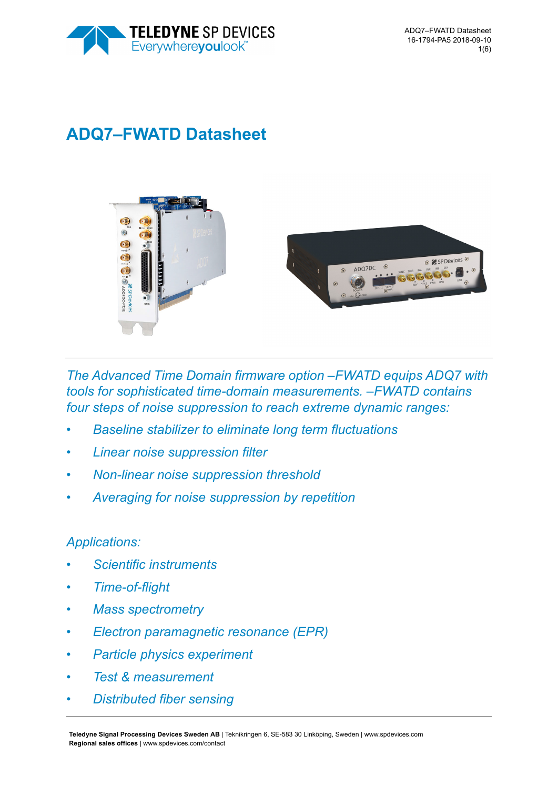

# **ADQ7–FWATD Datasheet**



*The Advanced Time Domain firmware option –FWATD equips ADQ7 with tools for sophisticated time-domain measurements. –FWATD contains four steps of noise suppression to reach extreme dynamic ranges:*

- *Baseline stabilizer to eliminate long term fluctuations*
- *Linear noise suppression filter*
- *Non-linear noise suppression threshold*
- *Averaging for noise suppression by repetition*

# *Applications:*

- *Scientific instruments*
- *Time-of-flight*
- *Mass spectrometry*
- *Electron paramagnetic resonance (EPR)*
- *Particle physics experiment*
- *Test & measurement*
- *Distributed fiber sensing*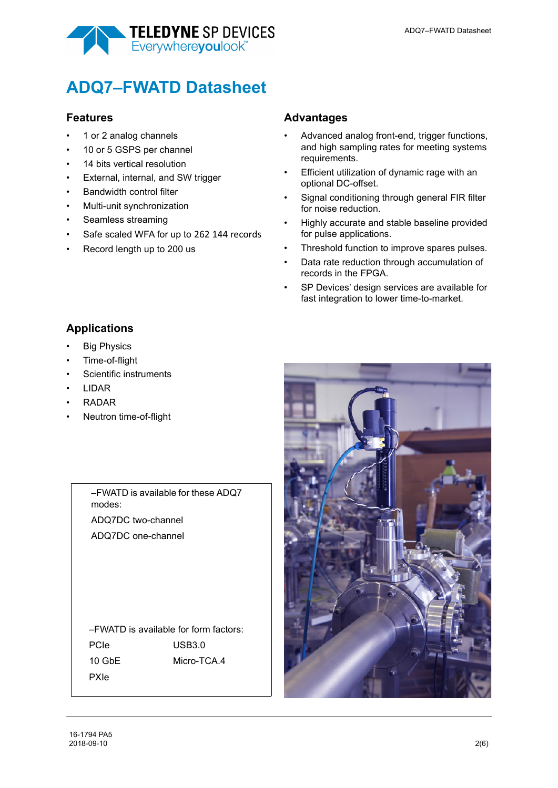

# **ADQ7–FWATD Datasheet**

### **Features**

- 1 or 2 analog channels
- 10 or 5 GSPS per channel
- 14 bits vertical resolution
- External, internal, and SW trigger
- Bandwidth control filter
- Multi-unit synchronization
- Seamless streaming
- Safe scaled WFA for up to 262 144 records
- Record length up to 200 us

## **Advantages**

- Advanced analog front-end, trigger functions, and high sampling rates for meeting systems requirements.
- Efficient utilization of dynamic rage with an optional DC-offset.
- Signal conditioning through general FIR filter for noise reduction.
- Highly accurate and stable baseline provided for pulse applications.
- Threshold function to improve spares pulses.
- Data rate reduction through accumulation of records in the FPGA.
- SP Devices' design services are available for fast integration to lower time-to-market.

# **Applications**

- Big Physics
- Time-of-flight
- Scientific instruments
- LIDAR
- RADAR
- Neutron time-of-flight

–FWATD is available for these ADQ7 modes: ADQ7DC two-channel ADQ7DC one-channel

–FWATD is available for form factors: PCIe 10 GbE PXIe  $USB3.0$ Micro-TCA.4

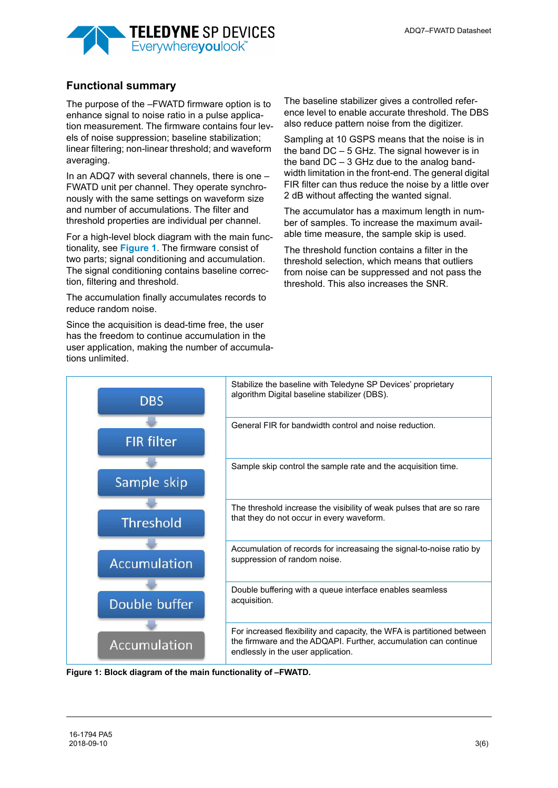

# **Functional summary**

The purpose of the –FWATD firmware option is to enhance signal to noise ratio in a pulse application measurement. The firmware contains four levels of noise suppression; baseline stabilization; linear filtering; non-linear threshold; and waveform averaging.

In an ADQ7 with several channels, there is one – FWATD unit per channel. They operate synchronously with the same settings on waveform size and number of accumulations. The filter and threshold properties are individual per channel.

For a high-level block diagram with the main functionality, see **[Figure 1](#page-2-0)**. The firmware consist of two parts; signal conditioning and accumulation. The signal conditioning contains baseline correction, filtering and threshold.

The accumulation finally accumulates records to reduce random noise.

Since the acquisition is dead-time free, the user has the freedom to continue accumulation in the user application, making the number of accumulations unlimited.

The baseline stabilizer gives a controlled reference level to enable accurate threshold. The DBS also reduce pattern noise from the digitizer.

Sampling at 10 GSPS means that the noise is in the band DC – 5 GHz. The signal however is in the band  $DC - 3$  GHz due to the analog bandwidth limitation in the front-end. The general digital FIR filter can thus reduce the noise by a little over 2 dB without affecting the wanted signal.

The accumulator has a maximum length in number of samples. To increase the maximum available time measure, the sample skip is used.

The threshold function contains a filter in the threshold selection, which means that outliers from noise can be suppressed and not pass the threshold. This also increases the SNR.



<span id="page-2-0"></span>**Figure 1: Block diagram of the main functionality of –FWATD.**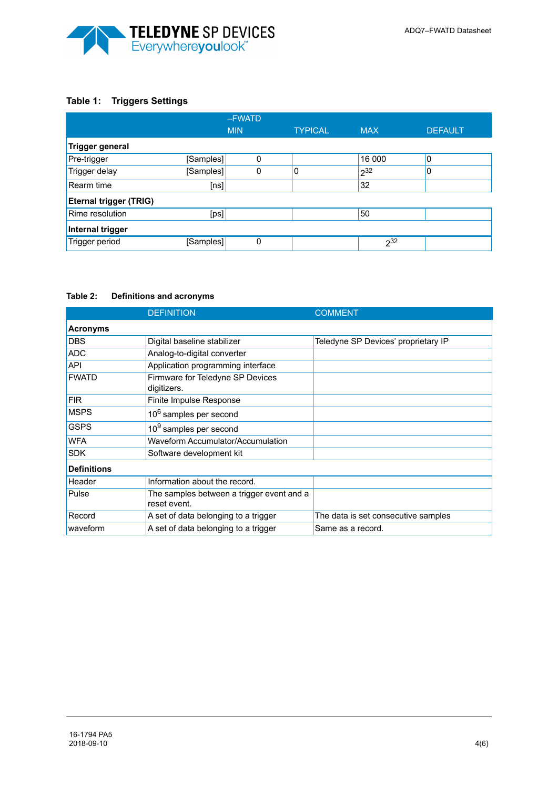

# **Table 1: Triggers Settings**

|                               | -FWATD     |          |                |            |                |  |  |  |
|-------------------------------|------------|----------|----------------|------------|----------------|--|--|--|
|                               | <b>MIN</b> |          | <b>TYPICAL</b> | <b>MAX</b> | <b>DEFAULT</b> |  |  |  |
| <b>Trigger general</b>        |            |          |                |            |                |  |  |  |
| Pre-trigger                   | [Samples]  | $\Omega$ |                | 16 000     | 0              |  |  |  |
| Trigger delay                 | [Samples]  | 0        | 0              | $2^{32}$   | 0              |  |  |  |
| Rearm time                    | [ns]       |          |                | 32         |                |  |  |  |
| <b>Eternal trigger (TRIG)</b> |            |          |                |            |                |  |  |  |
| Rime resolution               | [ps]       |          |                | 50         |                |  |  |  |
| Internal trigger              |            |          |                |            |                |  |  |  |
| Trigger period                | [Samples]  | 0        |                | $2^{32}$   |                |  |  |  |

#### **Table 2: Definitions and acronyms**

|                    | <b>DEFINITION</b>                                         | <b>COMMENT</b>                      |  |  |  |  |  |
|--------------------|-----------------------------------------------------------|-------------------------------------|--|--|--|--|--|
| <b>Acronyms</b>    |                                                           |                                     |  |  |  |  |  |
| <b>DBS</b>         | Digital baseline stabilizer                               | Teledyne SP Devices' proprietary IP |  |  |  |  |  |
| <b>ADC</b>         | Analog-to-digital converter                               |                                     |  |  |  |  |  |
| <b>API</b>         | Application programming interface                         |                                     |  |  |  |  |  |
| <b>FWATD</b>       | Firmware for Teledyne SP Devices<br>digitizers.           |                                     |  |  |  |  |  |
| <b>FIR</b>         | Finite Impulse Response                                   |                                     |  |  |  |  |  |
| <b>MSPS</b>        | 10 <sup>6</sup> samples per second                        |                                     |  |  |  |  |  |
| <b>GSPS</b>        | 10 <sup>9</sup> samples per second                        |                                     |  |  |  |  |  |
| <b>WFA</b>         | Waveform Accumulator/Accumulation                         |                                     |  |  |  |  |  |
| <b>SDK</b>         | Software development kit                                  |                                     |  |  |  |  |  |
| <b>Definitions</b> |                                                           |                                     |  |  |  |  |  |
| Header             | Information about the record.                             |                                     |  |  |  |  |  |
| Pulse              | The samples between a trigger event and a<br>reset event. |                                     |  |  |  |  |  |
| Record             | A set of data belonging to a trigger                      | The data is set consecutive samples |  |  |  |  |  |
| waveform           | A set of data belonging to a trigger                      | Same as a record.                   |  |  |  |  |  |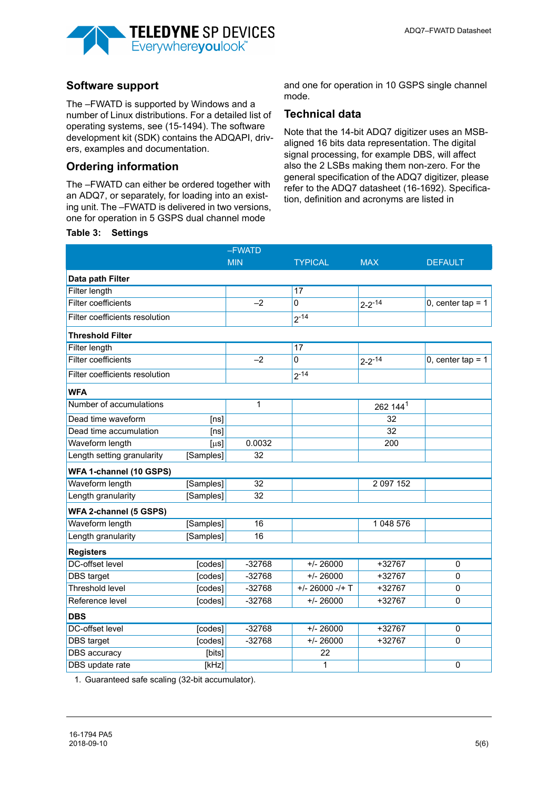

# **Software support**

The –FWATD is supported by Windows and a number of Linux distributions. For a detailed list of operating systems, see (15-1494). The software development kit (SDK) contains the ADQAPI, drivers, examples and documentation.

## **Ordering information**

The –FWATD can either be ordered together with an ADQ7, or separately, for loading into an existing unit. The –FWATD is delivered in two versions, one for operation in 5 GSPS dual channel mode

#### **Table 3: Settings**

and one for operation in 10 GSPS single channel mode.

### **Technical data**

Note that the 14-bit ADQ7 digitizer uses an MSBaligned 16 bits data representation. The digital signal processing, for example DBS, will affect also the 2 LSBs making them non-zero. For the general specification of the ADQ7 digitizer, please refer to the ADQ7 datasheet (16-1692). Specification, definition and acronyms are listed in

|                                | -FWATD    |              |                   |                      |                     |  |
|--------------------------------|-----------|--------------|-------------------|----------------------|---------------------|--|
|                                |           | <b>MIN</b>   | <b>TYPICAL</b>    | <b>MAX</b>           | <b>DEFAULT</b>      |  |
| Data path Filter               |           |              |                   |                      |                     |  |
| <b>Filter length</b>           |           |              | 17                |                      |                     |  |
| Filter coefficients            |           | $-2$         | 0                 | $2 - 2 - 14$         | 0, center tap = $1$ |  |
| Filter coefficients resolution |           |              | $2^{-14}$         |                      |                     |  |
| <b>Threshold Filter</b>        |           |              |                   |                      |                     |  |
| <b>Filter length</b>           |           |              | 17                |                      |                     |  |
| <b>Filter coefficients</b>     |           | $-2$         | 0                 | $2 - 2 - 14$         | 0, center tap = $1$ |  |
| Filter coefficients resolution |           |              | $2^{-14}$         |                      |                     |  |
| <b>WFA</b>                     |           |              |                   |                      |                     |  |
| Number of accumulations        |           | $\mathbf{1}$ |                   | 262 144 <sup>1</sup> |                     |  |
| Dead time waveform             | [ns]      |              |                   | 32                   |                     |  |
| Dead time accumulation         | [ns]      |              |                   | $\overline{32}$      |                     |  |
| Waveform length                | [µs]      | 0.0032       |                   | 200                  |                     |  |
| Length setting granularity     | [Samples] | 32           |                   |                      |                     |  |
| WFA 1-channel (10 GSPS)        |           |              |                   |                      |                     |  |
| Waveform length                | [Samples] | 32           |                   | 2 097 152            |                     |  |
| Length granularity             | [Samples] | 32           |                   |                      |                     |  |
| WFA 2-channel (5 GSPS)         |           |              |                   |                      |                     |  |
| Waveform length                | [Samples] | 16           |                   | 1 048 576            |                     |  |
| Length granularity             | [Samples] | 16           |                   |                      |                     |  |
| <b>Registers</b>               |           |              |                   |                      |                     |  |
| <b>DC-offset level</b>         | [codes]   | $-32768$     | $+/- 26000$       | $+32767$             | $\mathbf 0$         |  |
| DBS target                     | [codes]   | $-32768$     | $+/- 26000$       | +32767               | $\mathbf 0$         |  |
| <b>Threshold level</b>         | [codes]   | $-32768$     | $+/- 26000 -/+ T$ | +32767               | $\mathbf 0$         |  |
| Reference level                | [codes]   | $-32768$     | $+/- 26000$       | +32767               | $\mathbf{0}$        |  |
| <b>DBS</b>                     |           |              |                   |                      |                     |  |
| <b>DC-offset level</b>         | [codes]   | $-32768$     | $+/- 26000$       | $+32767$             | $\mathbf 0$         |  |
| DBS target                     | [codes]   | $-32768$     | $+/- 26000$       | +32767               | $\mathbf 0$         |  |
| <b>DBS</b> accuracy            | [bits]    |              | 22                |                      |                     |  |
| DBS update rate                | [kHz]     |              | 1                 |                      | $\mathbf 0$         |  |

1. Guaranteed safe scaling (32-bit accumulator).